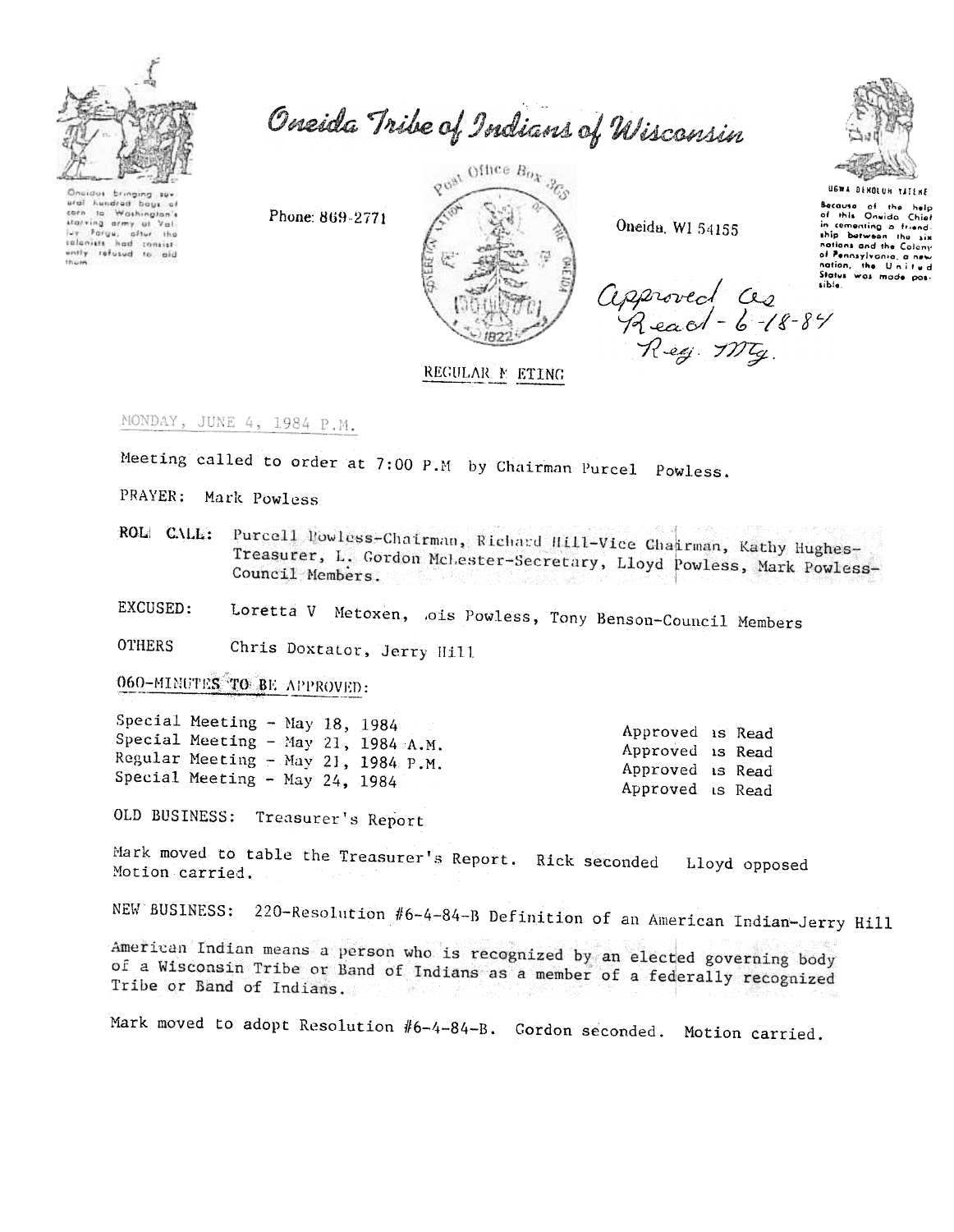

Oneida Tribe of Indians of Wisconsin

 $\Omega_{\rm B}$ dus bringing sui ural hundred bays of corn to Washington's corn to mathington's<br>starving army of Val.<br>Ivy Parys, after the<br>colonists had consist ently refused to aid

Phone: 869-2771



Oneida, WI 54155

Approved is Read

Approved is Read

Approved is Read

Approved is Read



USWA DENOLUM TATENE Because of the help<br>of this Oneida Chief<br>in comenting a friend-<br>ship between the six nations and the Colony of Pennsylvania, a new<br>nation, the United<br>Status was mode posapproved as sible

REGULAR M ETING

MONDAY, JUNE 4, 1984 P.M.

Meeting called to order at 7:00 P.M by Chairman Purcel Powless.

PRAYER: Mark Powless

Purcell Nowless-Chairman, Richard Hill-Vice Chairman, Kathy Hughes-ROL CALL: Treasurer, L. Gordon McLester-Secretary, Lloyd Powless, Mark Powless-Council Members.

Loretta V Metoxen, ois Powless, Tony Benson-Council Members EXCUSED:

**OTHERS** Chris Doxtator, Jerry Hill

060-MINUTES TO BE APPROVED:

Special Meeting - May 18, 1984 Special Meeting - May 21, 1984 A.M. Regular Meeting - May 21, 1984 P.M. Special Meeting - May 24, 1984

OLD BUSINESS: Treasurer's Report

Mark moved to table the Treasurer's Report. Rick seconded Lloyd opposed Motion carried.

NEW BUSINESS: 220-Resolution #6-4-84-B Definition of an American Indian-Jerry Hill

American Indian means a person who is recognized by an elected governing body of a Wisconsin Tribe or Band of Indians as a member of a federally recognized Tribe or Band of Indians. 그렇지 아니

Mark moved to adopt Resolution #6-4-84-B. Cordon seconded. Motion carried.